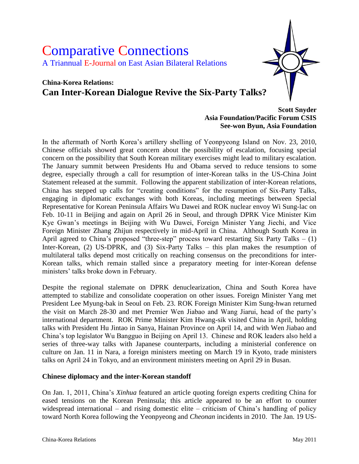# Comparative Connections A Triannual E-Journal on East Asian Bilateral Relations

# **China-Korea Relations: Can Inter-Korean Dialogue Revive the Six-Party Talks?**

#### **Scott Snyder Asia Foundation/Pacific Forum CSIS See-won Byun, Asia Foundation**

In the aftermath of North Korea's artillery shelling of Yeonpyeong Island on Nov. 23, 2010, Chinese officials showed great concern about the possibility of escalation, focusing special concern on the possibility that South Korean military exercises might lead to military escalation. The January summit between Presidents Hu and Obama served to reduce tensions to some degree, especially through a call for resumption of inter-Korean talks in the US-China Joint Statement released at the summit. Following the apparent stabilization of inter-Korean relations, China has stepped up calls for "creating conditions" for the resumption of Six-Party Talks, engaging in diplomatic exchanges with both Koreas, including meetings between Special Representative for Korean Peninsula Affairs Wu Dawei and ROK nuclear envoy Wi Sung-lac on Feb. 10-11 in Beijing and again on April 26 in Seoul, and through DPRK Vice Minister Kim Kye Gwan's meetings in Beijing with Wu Dawei, Foreign Minister Yang Jiechi, and Vice Foreign Minister Zhang Zhijun respectively in mid-April in China. Although South Korea in April agreed to China's proposed "three-step" process toward restarting Six Party Talks  $- (1)$ Inter-Korean, (2) US-DPRK, and (3) Six-Party Talks – this plan makes the resumption of multilateral talks depend most critically on reaching consensus on the preconditions for inter-Korean talks, which remain stalled since a preparatory meeting for inter-Korean defense ministers' talks broke down in February.

Despite the regional stalemate on DPRK denuclearization, China and South Korea have attempted to stabilize and consolidate cooperation on other issues. Foreign Minister Yang met President Lee Myung-bak in Seoul on Feb. 23. ROK Foreign Minister Kim Sung-hwan returned the visit on March 28-30 and met Premier Wen Jiabao and Wang Jiarui, head of the party's international department. ROK Prime Minister Kim Hwang-sik visited China in April, holding talks with President Hu Jintao in Sanya, Hainan Province on April 14, and with Wen Jiabao and China's top legislator Wu Bangguo in Beijing on April 13. Chinese and ROK leaders also held a series of three-way talks with Japanese counterparts, including a ministerial conference on culture on Jan. 11 in Nara, a foreign ministers meeting on March 19 in Kyoto, trade ministers talks on April 24 in Tokyo, and an environment ministers meeting on April 29 in Busan.

#### **Chinese diplomacy and the inter-Korean standoff**

On Jan. 1, 2011, China's *Xinhua* featured an article quoting foreign experts crediting China for eased tensions on the Korean Peninsula; this article appeared to be an effort to counter widespread international – and rising domestic elite – criticism of China's handling of policy toward North Korea following the Yeonpyeong and *Cheonan* incidents in 2010. The Jan. 19 US-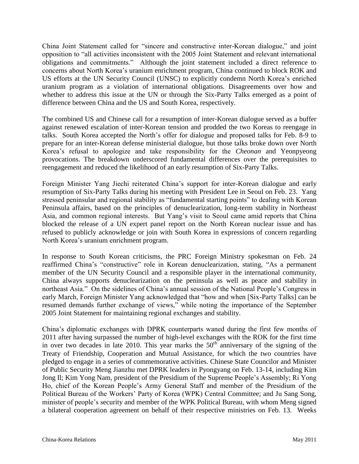China Joint Statement called for "sincere and constructive inter-Korean dialogue," and joint opposition to "all activities inconsistent with the 2005 Joint Statement and relevant international obligations and commitments." Although the joint statement included a direct reference to concerns about North Korea's uranium enrichment program, China continued to block ROK and US efforts at the UN Security Council (UNSC) to explicitly condemn North Korea's enriched uranium program as a violation of international obligations. Disagreements over how and whether to address this issue at the UN or through the Six-Party Talks emerged as a point of difference between China and the US and South Korea, respectively.

The combined US and Chinese call for a resumption of inter-Korean dialogue served as a buffer against renewed escalation of inter-Korean tension and prodded the two Koreas to reengage in talks. South Korea accepted the North's offer for dialogue and proposed talks for Feb. 8-9 to prepare for an inter-Korean defense ministerial dialogue, but those talks broke down over North Korea's refusal to apologize and take responsibility for the *Cheonan* and Yeonpyeong provocations. The breakdown underscored fundamental differences over the prerequisites to reengagement and reduced the likelihood of an early resumption of Six-Party Talks.

Foreign Minister Yang Jiechi reiterated China's support for inter-Korean dialogue and early resumption of Six-Party Talks during his meeting with President Lee in Seoul on Feb. 23. Yang stressed peninsular and regional stability as "fundamental starting points" to dealing with Korean Peninsula affairs, based on the principles of denuclearization, long-term stability in Northeast Asia, and common regional interests. But Yang's visit to Seoul came amid reports that China blocked the release of a UN expert panel report on the North Korean nuclear issue and has refused to publicly acknowledge or join with South Korea in expressions of concern regarding North Korea's uranium enrichment program.

In response to South Korean criticisms, the PRC Foreign Ministry spokesman on Feb. 24 reaffirmed China's "constructive" role in Korean denuclearization, stating, "As a permanent member of the UN Security Council and a responsible player in the international community, China always supports denuclearization on the peninsula as well as peace and stability in northeast Asia." On the sidelines of China's annual session of the National People's Congress in early March, Foreign Minister Yang acknowledged that "how and when [Six-Party Talks] can be resumed demands further exchange of views," while noting the importance of the September 2005 Joint Statement for maintaining regional exchanges and stability.

China's diplomatic exchanges with DPRK counterparts waned during the first few months of 2011 after having surpassed the number of high-level exchanges with the ROK for the first time in over two decades in late 2010. This year marks the  $50<sup>th</sup>$  anniversary of the signing of the Treaty of Friendship, Cooperation and Mutual Assistance, for which the two countries have pledged to engage in a series of commemorative activities. Chinese State Councilor and Minister of Public Security Meng Jianzhu met DPRK leaders in Pyongyang on Feb. 13-14, including Kim Jong Il; Kim Yong Nam, president of the Presidium of the Supreme People's Assembly; Ri Yong Ho, chief of the Korean People's Army General Staff and member of the Presidium of the Political Bureau of the Workers' Party of Korea (WPK) Central Committee; and Ju Sang Song, minister of people's security and member of the WPK Political Bureau, with whom Meng signed a bilateral cooperation agreement on behalf of their respective ministries on Feb. 13. Weeks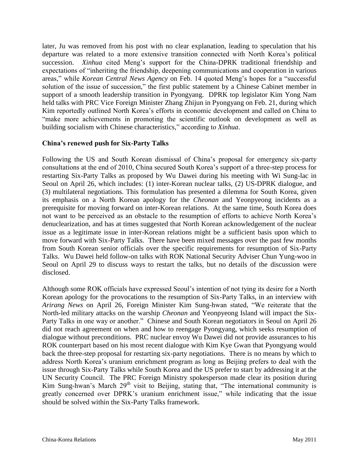later, Ju was removed from his post with no clear explanation, leading to speculation that his departure was related to a more extensive transition connected with North Korea's political succession. *Xinhua* cited Meng's support for the China-DPRK traditional friendship and expectations of "inheriting the friendship, deepening communications and cooperation in various areas," while *Korean Central News Agency* on Feb. 14 quoted Meng's hopes for a "successful solution of the issue of succession," the first public statement by a Chinese Cabinet member in support of a smooth leadership transition in Pyongyang. DPRK top legislator Kim Yong Nam held talks with PRC Vice Foreign Minister Zhang Zhijun in Pyongyang on Feb. 21, during which Kim reportedly outlined North Korea's efforts in economic development and called on China to "make more achievements in promoting the scientific outlook on development as well as building socialism with Chinese characteristics," according to *Xinhua*.

#### **China's renewed push for Six-Party Talks**

Following the US and South Korean dismissal of China's proposal for emergency six-party consultations at the end of 2010, China secured South Korea's support of a three-step process for restarting Six-Party Talks as proposed by Wu Dawei during his meeting with Wi Sung-lac in Seoul on April 26, which includes: (1) inter-Korean nuclear talks, (2) US-DPRK dialogue, and (3) multilateral negotiations. This formulation has presented a dilemma for South Korea, given its emphasis on a North Korean apology for the *Cheonan* and Yeonpyeong incidents as a prerequisite for moving forward on inter-Korean relations. At the same time, South Korea does not want to be perceived as an obstacle to the resumption of efforts to achieve North Korea's denuclearization, and has at times suggested that North Korean acknowledgement of the nuclear issue as a legitimate issue in inter-Korean relations might be a sufficient basis upon which to move forward with Six-Party Talks. There have been mixed messages over the past few months from South Korean senior officials over the specific requirements for resumption of Six-Party Talks. Wu Dawei held follow-on talks with ROK National Security Adviser Chun Yung-woo in Seoul on April 29 to discuss ways to restart the talks, but no details of the discussion were disclosed.

Although some ROK officials have expressed Seoul's intention of not tying its desire for a North Korean apology for the provocations to the resumption of Six-Party Talks, in an interview with *Arirang News* on April 26, Foreign Minister Kim Sung-hwan stated, "We reiterate that the North-led military attacks on the warship *Cheonan* and Yeonpyeong Island will impact the Six-Party Talks in one way or another." Chinese and South Korean negotiators in Seoul on April 26 did not reach agreement on when and how to reengage Pyongyang, which seeks resumption of dialogue without preconditions. PRC nuclear envoy Wu Dawei did not provide assurances to his ROK counterpart based on his most recent dialogue with Kim Kye Gwan that Pyongyang would back the three-step proposal for restarting six-party negotiations. There is no means by which to address North Korea's uranium enrichment program as long as Beijing prefers to deal with the issue through Six-Party Talks while South Korea and the US prefer to start by addressing it at the UN Security Council. The PRC Foreign Ministry spokesperson made clear its position during Kim Sung-hwan's March  $29<sup>th</sup>$  visit to Beijing, stating that, "The international community is greatly concerned over DPRK's uranium enrichment issue," while indicating that the issue should be solved within the Six-Party Talks framework.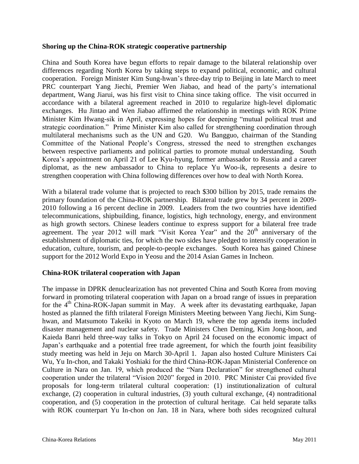#### **Shoring up the China-ROK strategic cooperative partnership**

China and South Korea have begun efforts to repair damage to the bilateral relationship over differences regarding North Korea by taking steps to expand political, economic, and cultural cooperation. Foreign Minister Kim Sung-hwan's three-day trip to Beijing in late March to meet PRC counterpart Yang Jiechi, Premier Wen Jiabao, and head of the party's international department, Wang Jiarui, was his first visit to China since taking office. The visit occurred in accordance with a bilateral agreement reached in 2010 to regularize high-level diplomatic exchanges. Hu Jintao and Wen Jiabao affirmed the relationship in meetings with ROK Prime Minister Kim Hwang-sik in April, expressing hopes for deepening "mutual political trust and strategic coordination." Prime Minister Kim also called for strengthening coordination through multilateral mechanisms such as the UN and G20. Wu Bangguo, chairman of the Standing Committee of the National People's Congress, stressed the need to strengthen exchanges between respective parliaments and political parties to promote mutual understanding. South Korea's appointment on April 21 of Lee Kyu-hyung, former ambassador to Russia and a career diplomat, as the new ambassador to China to replace Yu Woo-ik, represents a desire to strengthen cooperation with China following differences over how to deal with North Korea.

With a bilateral trade volume that is projected to reach \$300 billion by 2015, trade remains the primary foundation of the China-ROK partnership. Bilateral trade grew by 34 percent in 2009- 2010 following a 16 percent decline in 2009. Leaders from the two countries have identified telecommunications, shipbuilding, finance, logistics, high technology, energy, and environment as high growth sectors. Chinese leaders continue to express support for a bilateral free trade agreement. The year 2012 will mark "Visit Korea Year" and the 20<sup>th</sup> anniversary of the establishment of diplomatic ties, for which the two sides have pledged to intensify cooperation in education, culture, tourism, and people-to-people exchanges. South Korea has gained Chinese support for the 2012 World Expo in Yeosu and the 2014 Asian Games in Incheon.

### **China-ROK trilateral cooperation with Japan**

The impasse in DPRK denuclearization has not prevented China and South Korea from moving forward in promoting trilateral cooperation with Japan on a broad range of issues in preparation for the  $4<sup>th</sup>$  China-ROK-Japan summit in May. A week after its devastating earthquake, Japan hosted as planned the fifth trilateral Foreign Ministers Meeting between Yang Jiechi, Kim Sunghwan, and Matsumoto Takeiki in Kyoto on March 19, where the top agenda items included disaster management and nuclear safety. Trade Ministers Chen Deming, Kim Jong-hoon, and Kaieda Banri held three-way talks in Tokyo on April 24 focused on the economic impact of Japan's earthquake and a potential free trade agreement, for which the fourth joint feasibility study meeting was held in Jeju on March 30-April 1. Japan also hosted Culture Ministers Cai Wu, Yu In-chon, and Takaki Yoshiaki for the third China-ROK-Japan Ministerial Conference on Culture in Nara on Jan. 19, which produced the "Nara Declaration" for strengthened cultural cooperation under the trilateral "Vision 2020" forged in 2010. PRC Minister Cai provided five proposals for long-term trilateral cultural cooperation: (1) institutionalization of cultural exchange, (2) cooperation in cultural industries, (3) youth cultural exchange, (4) nontraditional cooperation, and (5) cooperation in the protection of cultural heritage. Cai held separate talks with ROK counterpart Yu In-chon on Jan. 18 in Nara, where both sides recognized cultural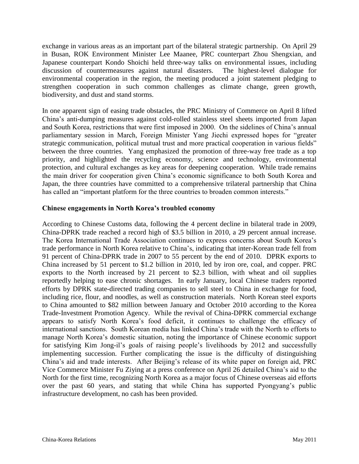exchange in various areas as an important part of the bilateral strategic partnership. On April 29 in Busan, ROK Environment Minister Lee Maanee, PRC counterpart Zhou Shengxian, and Japanese counterpart Kondo Shoichi held three-way talks on environmental issues, including discussion of countermeasures against natural disasters. The highest-level dialogue for environmental cooperation in the region, the meeting produced a joint statement pledging to strengthen cooperation in such common challenges as climate change, green growth, biodiversity, and dust and stand storms.

In one apparent sign of easing trade obstacles, the PRC Ministry of Commerce on April 8 lifted China's anti-dumping measures against cold-rolled stainless steel sheets imported from Japan and South Korea, restrictions that were first imposed in 2000. On the sidelines of China's annual parliamentary session in March, Foreign Minister Yang Jiechi expressed hopes for "greater strategic communication, political mutual trust and more practical cooperation in various fields" between the three countries. Yang emphasized the promotion of three-way free trade as a top priority, and highlighted the recycling economy, science and technology, environmental protection, and cultural exchanges as key areas for deepening cooperation. While trade remains the main driver for cooperation given China's economic significance to both South Korea and Japan, the three countries have committed to a comprehensive trilateral partnership that China has called an "important platform for the three countries to broaden common interests."

#### **Chinese engagements in North Korea's troubled economy**

According to Chinese Customs data, following the 4 percent decline in bilateral trade in 2009, China-DPRK trade reached a record high of \$3.5 billion in 2010, a 29 percent annual increase. The Korea International Trade Association continues to express concerns about South Korea's trade performance in North Korea relative to China's, indicating that inter-Korean trade fell from 91 percent of China-DPRK trade in 2007 to 55 percent by the end of 2010. DPRK exports to China increased by 51 percent to \$1.2 billion in 2010, led by iron ore, coal, and copper. PRC exports to the North increased by 21 percent to \$2.3 billion, with wheat and oil supplies reportedly helping to ease chronic shortages. In early January, local Chinese traders reported efforts by DPRK state-directed trading companies to sell steel to China in exchange for food, including rice, flour, and noodles, as well as construction materials. North Korean steel exports to China amounted to \$82 million between January and October 2010 according to the Korea Trade-Investment Promotion Agency. While the revival of China-DPRK commercial exchange appears to satisfy North Korea's food deficit, it continues to challenge the efficacy of international sanctions. South Korean media has linked China's trade with the North to efforts to manage North Korea's domestic situation, noting the importance of Chinese economic support for satisfying Kim Jong-il's goals of raising people's livelihoods by 2012 and successfully implementing succession. Further complicating the issue is the difficulty of distinguishing China's aid and trade interests. After Beijing's release of its white paper on foreign aid, PRC Vice Commerce Minister Fu Ziying at a press conference on April 26 detailed China's aid to the North for the first time, recognizing North Korea as a major focus of Chinese overseas aid efforts over the past 60 years, and stating that while China has supported Pyongyang's public infrastructure development, no cash has been provided.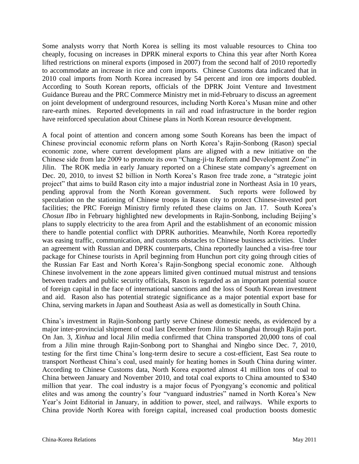Some analysts worry that North Korea is selling its most valuable resources to China too cheaply, focusing on increases in DPRK mineral exports to China this year after North Korea lifted restrictions on mineral exports (imposed in 2007) from the second half of 2010 reportedly to accommodate an increase in rice and corn imports. Chinese Customs data indicated that in 2010 coal imports from North Korea increased by 54 percent and iron ore imports doubled. According to South Korean reports, officials of the DPRK Joint Venture and Investment Guidance Bureau and the PRC Commerce Ministry met in mid-February to discuss an agreement on joint development of underground resources, including North Korea's Musan mine and other rare-earth mines. Reported developments in rail and road infrastructure in the border region have reinforced speculation about Chinese plans in North Korean resource development.

A focal point of attention and concern among some South Koreans has been the impact of Chinese provincial economic reform plans on North Korea's Rajin-Sonbong (Rason) special economic zone, where current development plans are aligned with a new initiative on the Chinese side from late 2009 to promote its own "Chang-ji-tu Reform and Development Zone" in Jilin. The ROK media in early January reported on a Chinese state company's agreement on Dec. 20, 2010, to invest \$2 billion in North Korea's Rason free trade zone, a "strategic joint project" that aims to build Rason city into a major industrial zone in Northeast Asia in 10 years, pending approval from the North Korean government. Such reports were followed by speculation on the stationing of Chinese troops in Rason city to protect Chinese-invested port facilities; the PRC Foreign Ministry firmly refuted these claims on Jan. 17. South Korea's *Chosun Ilbo* in February highlighted new developments in Rajin-Sonbong, including Beijing's plans to supply electricity to the area from April and the establishment of an economic mission there to handle potential conflict with DPRK authorities. Meanwhile, North Korea reportedly was easing traffic, communication, and customs obstacles to Chinese business activities. Under an agreement with Russian and DPRK counterparts, China reportedly launched a visa-free tour package for Chinese tourists in April beginning from Hunchun port city going through cities of the Russian Far East and North Korea's Rajin-Songbong special economic zone. Although Chinese involvement in the zone appears limited given continued mutual mistrust and tensions between traders and public security officials, Rason is regarded as an important potential source of foreign capital in the face of international sanctions and the loss of South Korean investment and aid. Rason also has potential strategic significance as a major potential export base for China, serving markets in Japan and Southeast Asia as well as domestically in South China.

China's investment in Rajin-Sonbong partly serve Chinese domestic needs, as evidenced by a major inter-provincial shipment of coal last December from Jilin to Shanghai through Rajin port. On Jan. 3, *Xinhua* and local Jilin media confirmed that China transported 20,000 tons of coal from a Jilin mine through Rajin-Sonbong port to Shanghai and Ningbo since Dec. 7, 2010, testing for the first time China's long-term desire to secure a cost-efficient, East Sea route to transport Northeast China's coal, used mainly for heating homes in South China during winter. According to Chinese Customs data, North Korea exported almost 41 million tons of coal to China between January and November 2010, and total coal exports to China amounted to \$340 million that year. The coal industry is a major focus of Pyongyang's economic and political elites and was among the country's four "vanguard industries" named in North Korea's New Year's Joint Editorial in January, in addition to power, steel, and railways. While exports to China provide North Korea with foreign capital, increased coal production boosts domestic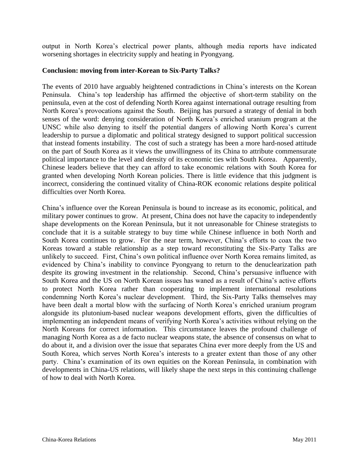output in North Korea's electrical power plants, although media reports have indicated worsening shortages in electricity supply and heating in Pyongyang.

#### **Conclusion: moving from inter-Korean to Six-Party Talks?**

The events of 2010 have arguably heightened contradictions in China's interests on the Korean Peninsula. China's top leadership has affirmed the objective of short-term stability on the peninsula, even at the cost of defending North Korea against international outrage resulting from North Korea's provocations against the South. Beijing has pursued a strategy of denial in both senses of the word: denying consideration of North Korea's enriched uranium program at the UNSC while also denying to itself the potential dangers of allowing North Korea's current leadership to pursue a diplomatic and political strategy designed to support political succession that instead foments instability. The cost of such a strategy has been a more hard-nosed attitude on the part of South Korea as it views the unwillingness of its China to attribute commensurate political importance to the level and density of its economic ties with South Korea. Apparently, Chinese leaders believe that they can afford to take economic relations with South Korea for granted when developing North Korean policies. There is little evidence that this judgment is incorrect, considering the continued vitality of China-ROK economic relations despite political difficulties over North Korea.

China's influence over the Korean Peninsula is bound to increase as its economic, political, and military power continues to grow. At present, China does not have the capacity to independently shape developments on the Korean Peninsula, but it not unreasonable for Chinese strategists to conclude that it is a suitable strategy to buy time while Chinese influence in both North and South Korea continues to grow. For the near term, however, China's efforts to coax the two Koreas toward a stable relationship as a step toward reconstituting the Six-Party Talks are unlikely to succeed. First, China's own political influence over North Korea remains limited, as evidenced by China's inability to convince Pyongyang to return to the denuclearization path despite its growing investment in the relationship. Second, China's persuasive influence with South Korea and the US on North Korean issues has waned as a result of China's active efforts to protect North Korea rather than cooperating to implement international resolutions condemning North Korea's nuclear development. Third, the Six-Party Talks themselves may have been dealt a mortal blow with the surfacing of North Korea's enriched uranium program alongside its plutonium-based nuclear weapons development efforts, given the difficulties of implementing an independent means of verifying North Korea's activities without relying on the North Koreans for correct information. This circumstance leaves the profound challenge of managing North Korea as a de facto nuclear weapons state, the absence of consensus on what to do about it, and a division over the issue that separates China ever more deeply from the US and South Korea, which serves North Korea's interests to a greater extent than those of any other party. China's examination of its own equities on the Korean Peninsula, in combination with developments in China-US relations, will likely shape the next steps in this continuing challenge of how to deal with North Korea.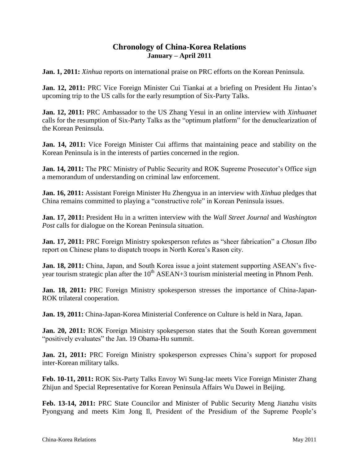## **Chronology of China-Korea Relations January – April 2011**

**Jan. 1, 2011:** *Xinhua* reports on international praise on PRC efforts on the Korean Peninsula.

**Jan. 12, 2011:** PRC Vice Foreign Minister Cui Tiankai at a briefing on President Hu Jintao's upcoming trip to the US calls for the early resumption of Six-Party Talks.

**Jan. 12, 2011:** PRC Ambassador to the US Zhang Yesui in an online interview with *Xinhuanet* calls for the resumption of Six-Party Talks as the "optimum platform" for the denuclearization of the Korean Peninsula.

**Jan. 14, 2011:** Vice Foreign Minister Cui affirms that maintaining peace and stability on the Korean Peninsula is in the interests of parties concerned in the region.

**Jan. 14, 2011:** The PRC Ministry of Public Security and ROK Supreme Prosecutor's Office sign a memorandum of understanding on criminal law enforcement.

**Jan. 16, 2011:** Assistant Foreign Minister Hu Zhengyua in an interview with *Xinhua* pledges that China remains committed to playing a "constructive role" in Korean Peninsula issues.

**Jan. 17, 2011:** President Hu in a written interview with the *Wall Street Journal* and *Washington Post* calls for dialogue on the Korean Peninsula situation.

**Jan. 17, 2011:** PRC Foreign Ministry spokesperson refutes as "sheer fabrication" a *Chosun Ilbo* report on Chinese plans to dispatch troops in North Korea's Rason city.

**Jan. 18, 2011:** China, Japan, and South Korea issue a joint statement supporting ASEAN's fiveyear tourism strategic plan after the  $10<sup>th</sup>$  ASEAN+3 tourism ministerial meeting in Phnom Penh.

**Jan. 18, 2011:** PRC Foreign Ministry spokesperson stresses the importance of China-Japan-ROK trilateral cooperation.

**Jan. 19, 2011:** China-Japan-Korea Ministerial Conference on Culture is held in Nara, Japan.

**Jan. 20, 2011:** ROK Foreign Ministry spokesperson states that the South Korean government "positively evaluates" the Jan. 19 Obama-Hu summit.

**Jan. 21, 2011:** PRC Foreign Ministry spokesperson expresses China's support for proposed inter-Korean military talks.

**Feb. 10-11, 2011:** ROK Six-Party Talks Envoy Wi Sung-lac meets Vice Foreign Minister Zhang Zhijun and Special Representative for Korean Peninsula Affairs Wu Dawei in Beijing.

**Feb. 13-14, 2011:** PRC State Councilor and Minister of Public Security Meng Jianzhu visits Pyongyang and meets Kim Jong Il, President of the Presidium of the Supreme People's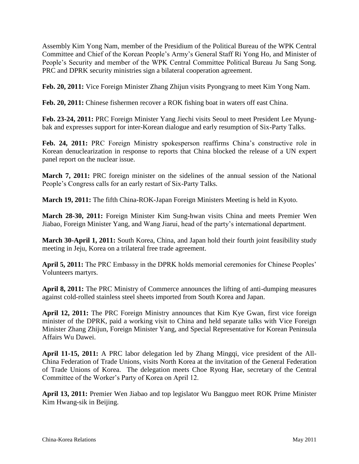Assembly Kim Yong Nam, member of the Presidium of the Political Bureau of the WPK Central Committee and Chief of the Korean People's Army's General Staff Ri Yong Ho, and Minister of People's Security and member of the WPK Central Committee Political Bureau Ju Sang Song. PRC and DPRK security ministries sign a bilateral cooperation agreement.

**Feb. 20, 2011:** Vice Foreign Minister Zhang Zhijun visits Pyongyang to meet Kim Yong Nam.

**Feb. 20, 2011:** Chinese fishermen recover a ROK fishing boat in waters off east China.

**Feb. 23-24, 2011:** PRC Foreign Minister Yang Jiechi visits Seoul to meet President Lee Myungbak and expresses support for inter-Korean dialogue and early resumption of Six-Party Talks.

**Feb. 24, 2011:** PRC Foreign Ministry spokesperson reaffirms China's constructive role in Korean denuclearization in response to reports that China blocked the release of a UN expert panel report on the nuclear issue.

**March 7, 2011:** PRC foreign minister on the sidelines of the annual session of the National People's Congress calls for an early restart of Six-Party Talks.

**March 19, 2011:** The fifth China-ROK-Japan Foreign Ministers Meeting is held in Kyoto.

**March 28-30, 2011:** Foreign Minister Kim Sung-hwan visits China and meets Premier Wen Jiabao, Foreign Minister Yang, and Wang Jiarui, head of the party's international department.

**March 30-April 1, 2011:** South Korea, China, and Japan hold their fourth joint feasibility study meeting in Jeju, Korea on a trilateral free trade agreement.

**April 5, 2011:** The PRC Embassy in the DPRK holds memorial ceremonies for Chinese Peoples' Volunteers martyrs.

**April 8, 2011:** The PRC Ministry of Commerce announces the lifting of anti-dumping measures against cold-rolled stainless steel sheets imported from South Korea and Japan.

**April 12, 2011:** The PRC Foreign Ministry announces that Kim Kye Gwan, first vice foreign minister of the DPRK, paid a working visit to China and held separate talks with Vice Foreign Minister Zhang Zhijun, Foreign Minister Yang, and Special Representative for Korean Peninsula Affairs Wu Dawei.

**April 11-15, 2011:** A PRC labor delegation led by Zhang Mingqi, vice president of the All-China Federation of Trade Unions, visits North Korea at the invitation of the General Federation of Trade Unions of Korea. The delegation meets Choe Ryong Hae, secretary of the Central Committee of the Worker's Party of Korea on April 12.

**April 13, 2011:** Premier Wen Jiabao and top legislator Wu Bangguo meet ROK Prime Minister Kim Hwang-sik in Beijing.